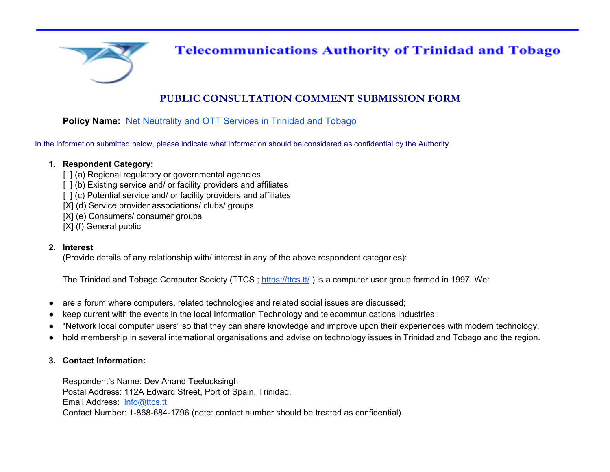

## **Telecommunications Authority of Trinidad and Tobago**

## **PUBLIC CONSULTATION COMMENT SUBMISSION FORM**

## **Policy Name:** [Net Neutrality and OTT Services in Trinidad and Tobago](https://tatt.org.tt/Forms/DownloadableDocuments.aspx?Command=Core_Download&EntryId=1125)

In the information submitted below, please indicate what information should be considered as confidential by the Authority.

#### **1. Respondent Category:**

- [  $|$  (a) Regional regulatory or governmental agencies
- [  $|$  (b) Existing service and/ or facility providers and affiliates
- [  $|$  (c) Potential service and/ or facility providers and affiliates
- [X] (d) Service provider associations/ clubs/ groups
- [X] (e) Consumers/ consumer groups
- [X] (f) General public

#### **2. Interest**

(Provide details of any relationship with/ interest in any of the above respondent categories):

The Trinidad and Tobago Computer Society (TTCS ; [https://ttcs.tt/](http://ttcs.tt/) ) is a computer user group formed in 1997. We:

- are a forum where computers, related technologies and related social issues are discussed;
- keep current with the events in the local Information Technology and telecommunications industries ;
- "Network local computer users" so that they can share knowledge and improve upon their experiences with modern technology.
- hold membership in several international organisations and advise on technology issues in Trinidad and Tobago and the region.

### **3. Contact Information:**

Respondent's Name: Dev Anand Teelucksingh Postal Address: 112A Edward Street, Port of Spain, Trinidad. Email Address: [info@ttcs.tt](mailto:info@ttcs.tt) Contact Number: 1-868-684-1796 (note: contact number should be treated as confidential)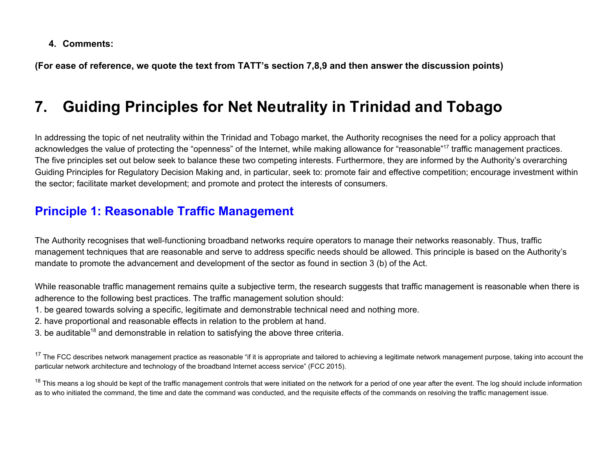**4. Comments:**

**(For ease of reference, we quote the text from TATT's section 7,8,9 and then answer the discussion points)**

# **7. Guiding Principles for Net Neutrality in Trinidad and Tobago**

In addressing the topic of net neutrality within the Trinidad and Tobago market, the Authority recognises the need for a policy approach that acknowledges the value of protecting the "openness" of the Internet, while making allowance for "reasonable"<sup>17</sup> traffic management practices. The five principles set out below seek to balance these two competing interests. Furthermore, they are informed by the Authority's overarching Guiding Principles for Regulatory Decision Making and, in particular, seek to: promote fair and effective competition; encourage investment within the sector; facilitate market development; and promote and protect the interests of consumers.

## **Principle 1: Reasonable Traffic Management**

The Authority recognises that well-functioning broadband networks require operators to manage their networks reasonably. Thus, traffic management techniques that are reasonable and serve to address specific needs should be allowed. This principle is based on the Authority's mandate to promote the advancement and development of the sector as found in section 3 (b) of the Act.

While reasonable traffic management remains quite a subjective term, the research suggests that traffic management is reasonable when there is adherence to the following best practices. The traffic management solution should:

- 1. be geared towards solving a specific, legitimate and demonstrable technical need and nothing more.
- 2. have proportional and reasonable effects in relation to the problem at hand.
- 3. be auditable<sup>18</sup> and demonstrable in relation to satisfying the above three criteria.

<sup>17</sup> The FCC describes network management practice as reasonable "if it is appropriate and tailored to achieving a legitimate network management purpose, taking into account the particular network architecture and technology of the broadband Internet access service" (FCC 2015).

<sup>18</sup> This means a log should be kept of the traffic management controls that were initiated on the network for a period of one year after the event. The log should include information as to who initiated the command, the time and date the command was conducted, and the requisite effects of the commands on resolving the traffic management issue.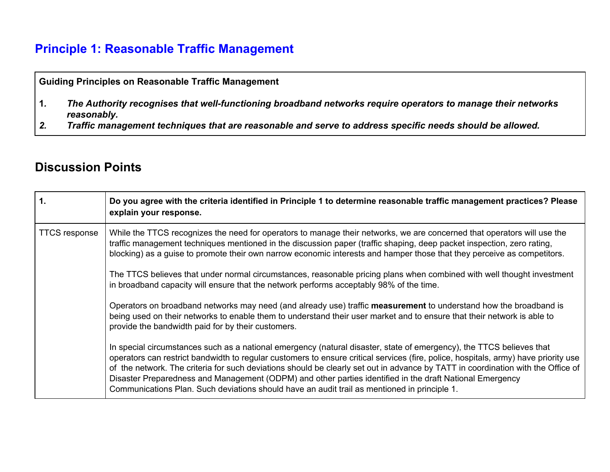## **Principle 1: Reasonable Traffic Management**

## **Guiding Principles on Reasonable Traffic Management**

- **1***. The Authority recognises that well-functioning broadband networks require operators to manage their networks reasonably.*
- *2. Traffic management techniques that are reasonable and serve to address specific needs should be allowed.*

## **Discussion Points**

| .1                   | Do you agree with the criteria identified in Principle 1 to determine reasonable traffic management practices? Please<br>explain your response.                                                                                                                                                                                                                                                                                                                                                                                                                                                             |
|----------------------|-------------------------------------------------------------------------------------------------------------------------------------------------------------------------------------------------------------------------------------------------------------------------------------------------------------------------------------------------------------------------------------------------------------------------------------------------------------------------------------------------------------------------------------------------------------------------------------------------------------|
| <b>TTCS response</b> | While the TTCS recognizes the need for operators to manage their networks, we are concerned that operators will use the<br>traffic management techniques mentioned in the discussion paper (traffic shaping, deep packet inspection, zero rating,<br>blocking) as a quise to promote their own narrow economic interests and hamper those that they perceive as competitors.                                                                                                                                                                                                                                |
|                      | The TTCS believes that under normal circumstances, reasonable pricing plans when combined with well thought investment<br>in broadband capacity will ensure that the network performs acceptably 98% of the time.                                                                                                                                                                                                                                                                                                                                                                                           |
|                      | Operators on broadband networks may need (and already use) traffic measurement to understand how the broadband is<br>being used on their networks to enable them to understand their user market and to ensure that their network is able to<br>provide the bandwidth paid for by their customers.                                                                                                                                                                                                                                                                                                          |
|                      | In special circumstances such as a national emergency (natural disaster, state of emergency), the TTCS believes that<br>operators can restrict bandwidth to regular customers to ensure critical services (fire, police, hospitals, army) have priority use<br>of the network. The criteria for such deviations should be clearly set out in advance by TATT in coordination with the Office of<br>Disaster Preparedness and Management (ODPM) and other parties identified in the draft National Emergency<br>Communications Plan. Such deviations should have an audit trail as mentioned in principle 1. |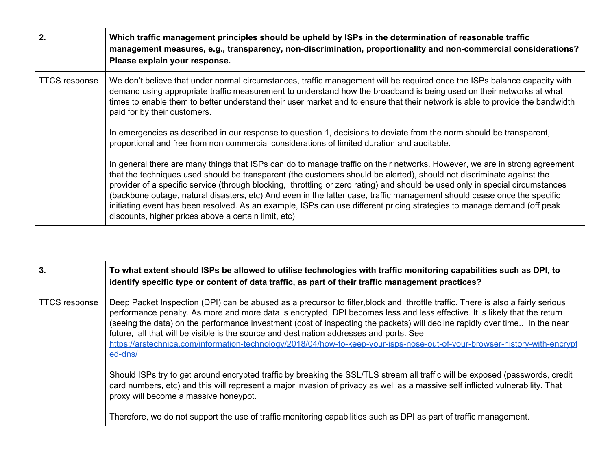| 2.                   | Which traffic management principles should be upheld by ISPs in the determination of reasonable traffic<br>management measures, e.g., transparency, non-discrimination, proportionality and non-commercial considerations?<br>Please explain your response.                                                                                                                                                                                                                                                                                                                                                                                                                                         |
|----------------------|-----------------------------------------------------------------------------------------------------------------------------------------------------------------------------------------------------------------------------------------------------------------------------------------------------------------------------------------------------------------------------------------------------------------------------------------------------------------------------------------------------------------------------------------------------------------------------------------------------------------------------------------------------------------------------------------------------|
| <b>TTCS response</b> | We don't believe that under normal circumstances, traffic management will be required once the ISPs balance capacity with<br>demand using appropriate traffic measurement to understand how the broadband is being used on their networks at what<br>times to enable them to better understand their user market and to ensure that their network is able to provide the bandwidth<br>paid for by their customers.<br>In emergencies as described in our response to question 1, decisions to deviate from the norm should be transparent,<br>proportional and free from non commercial considerations of limited duration and auditable.                                                           |
|                      | In general there are many things that ISPs can do to manage traffic on their networks. However, we are in strong agreement<br>that the techniques used should be transparent (the customers should be alerted), should not discriminate against the<br>provider of a specific service (through blocking, throttling or zero rating) and should be used only in special circumstances<br>(backbone outage, natural disasters, etc) And even in the latter case, traffic management should cease once the specific<br>initiating event has been resolved. As an example, ISPs can use different pricing strategies to manage demand (off peak<br>discounts, higher prices above a certain limit, etc) |

| 3.                   | To what extent should ISPs be allowed to utilise technologies with traffic monitoring capabilities such as DPI, to<br>identify specific type or content of data traffic, as part of their traffic management practices?                                                                                                                                                                                                                                                                                                                                                                                                          |
|----------------------|----------------------------------------------------------------------------------------------------------------------------------------------------------------------------------------------------------------------------------------------------------------------------------------------------------------------------------------------------------------------------------------------------------------------------------------------------------------------------------------------------------------------------------------------------------------------------------------------------------------------------------|
| <b>TTCS response</b> | Deep Packet Inspection (DPI) can be abused as a precursor to filter, block and throttle traffic. There is also a fairly serious<br>performance penalty. As more and more data is encrypted, DPI becomes less and less effective. It is likely that the return<br>(seeing the data) on the performance investment (cost of inspecting the packets) will decline rapidly over time In the near<br>future, all that will be visible is the source and destination addresses and ports. See<br>https://arstechnica.com/information-technology/2018/04/how-to-keep-your-isps-nose-out-of-your-browser-history-with-encrypt<br>ed-dns/ |
|                      | Should ISPs try to get around encrypted traffic by breaking the SSL/TLS stream all traffic will be exposed (passwords, credit<br>card numbers, etc) and this will represent a major invasion of privacy as well as a massive self inflicted vulnerability. That<br>proxy will become a massive honeypot.                                                                                                                                                                                                                                                                                                                         |
|                      | Therefore, we do not support the use of traffic monitoring capabilities such as DPI as part of traffic management.                                                                                                                                                                                                                                                                                                                                                                                                                                                                                                               |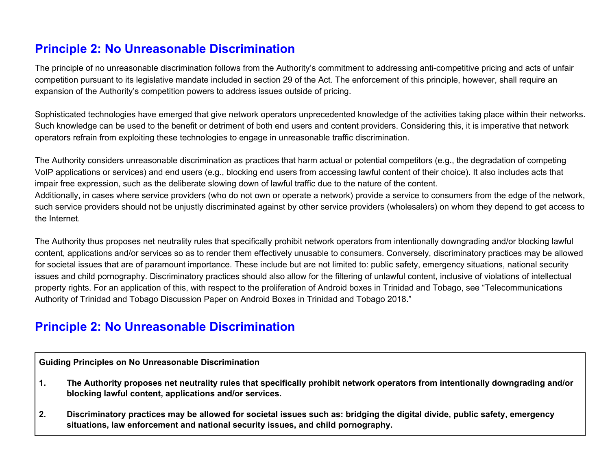# **Principle 2: No Unreasonable Discrimination**

The principle of no unreasonable discrimination follows from the Authority's commitment to addressing anti-competitive pricing and acts of unfair competition pursuant to its legislative mandate included in section 29 of the Act. The enforcement of this principle, however, shall require an expansion of the Authority's competition powers to address issues outside of pricing.

Sophisticated technologies have emerged that give network operators unprecedented knowledge of the activities taking place within their networks. Such knowledge can be used to the benefit or detriment of both end users and content providers. Considering this, it is imperative that network operators refrain from exploiting these technologies to engage in unreasonable traffic discrimination.

The Authority considers unreasonable discrimination as practices that harm actual or potential competitors (e.g., the degradation of competing VoIP applications or services) and end users (e.g., blocking end users from accessing lawful content of their choice). It also includes acts that impair free expression, such as the deliberate slowing down of lawful traffic due to the nature of the content.

Additionally, in cases where service providers (who do not own or operate a network) provide a service to consumers from the edge of the network, such service providers should not be unjustly discriminated against by other service providers (wholesalers) on whom they depend to get access to the Internet.

The Authority thus proposes net neutrality rules that specifically prohibit network operators from intentionally downgrading and/or blocking lawful content, applications and/or services so as to render them effectively unusable to consumers. Conversely, discriminatory practices may be allowed for societal issues that are of paramount importance. These include but are not limited to: public safety, emergency situations, national security issues and child pornography. Discriminatory practices should also allow for the filtering of unlawful content, inclusive of violations of intellectual property rights. For an application of this, with respect to the proliferation of Android boxes in Trinidad and Tobago, see "Telecommunications Authority of Trinidad and Tobago Discussion Paper on Android Boxes in Trinidad and Tobago 2018."

## **Principle 2: No Unreasonable Discrimination**

**Guiding Principles on No Unreasonable Discrimination**

- 1. The Authority proposes net neutrality rules that specifically prohibit network operators from intentionally downgrading and/or **blocking lawful content, applications and/or services.**
- 2. Discriminatory practices may be allowed for societal issues such as: bridging the digital divide, public safety, emergency **situations, law enforcement and national security issues, and child pornography.**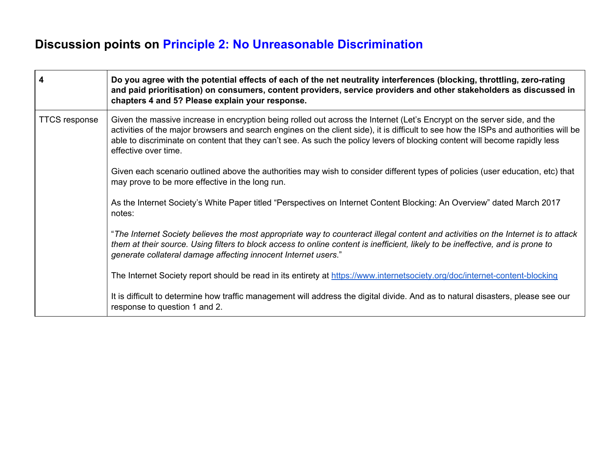# **Discussion points on Principle 2: No Unreasonable Discrimination**

| $\overline{4}$       | Do you agree with the potential effects of each of the net neutrality interferences (blocking, throttling, zero-rating<br>and paid prioritisation) on consumers, content providers, service providers and other stakeholders as discussed in<br>chapters 4 and 5? Please explain your response.                                                                                                                         |
|----------------------|-------------------------------------------------------------------------------------------------------------------------------------------------------------------------------------------------------------------------------------------------------------------------------------------------------------------------------------------------------------------------------------------------------------------------|
| <b>TTCS response</b> | Given the massive increase in encryption being rolled out across the Internet (Let's Encrypt on the server side, and the<br>activities of the major browsers and search engines on the client side), it is difficult to see how the ISPs and authorities will be<br>able to discriminate on content that they can't see. As such the policy levers of blocking content will become rapidly less<br>effective over time. |
|                      | Given each scenario outlined above the authorities may wish to consider different types of policies (user education, etc) that<br>may prove to be more effective in the long run.                                                                                                                                                                                                                                       |
|                      | As the Internet Society's White Paper titled "Perspectives on Internet Content Blocking: An Overview" dated March 2017<br>notes:                                                                                                                                                                                                                                                                                        |
|                      | "The Internet Society believes the most appropriate way to counteract illegal content and activities on the Internet is to attack<br>them at their source. Using filters to block access to online content is inefficient, likely to be ineffective, and is prone to<br>generate collateral damage affecting innocent Internet users."                                                                                  |
|                      | The Internet Society report should be read in its entirety at https://www.internetsociety.org/doc/internet-content-blocking                                                                                                                                                                                                                                                                                             |
|                      | It is difficult to determine how traffic management will address the digital divide. And as to natural disasters, please see our<br>response to question 1 and 2.                                                                                                                                                                                                                                                       |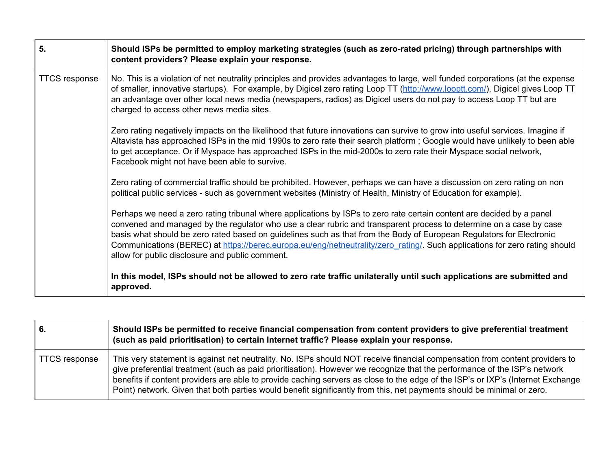| 5.                   | Should ISPs be permitted to employ marketing strategies (such as zero-rated pricing) through partnerships with<br>content providers? Please explain your response.                                                                                                                                                                                                                                                                                                                                                                                    |
|----------------------|-------------------------------------------------------------------------------------------------------------------------------------------------------------------------------------------------------------------------------------------------------------------------------------------------------------------------------------------------------------------------------------------------------------------------------------------------------------------------------------------------------------------------------------------------------|
| <b>TTCS response</b> | No. This is a violation of net neutrality principles and provides advantages to large, well funded corporations (at the expense<br>of smaller, innovative startups). For example, by Digicel zero rating Loop TT (http://www.looptt.com/), Digicel gives Loop TT<br>an advantage over other local news media (newspapers, radios) as Digicel users do not pay to access Loop TT but are<br>charged to access other news media sites.                                                                                                                  |
|                      | Zero rating negatively impacts on the likelihood that future innovations can survive to grow into useful services. Imagine if<br>Altavista has approached ISPs in the mid 1990s to zero rate their search platform; Google would have unlikely to been able<br>to get acceptance. Or if Myspace has approached ISPs in the mid-2000s to zero rate their Myspace social network,<br>Facebook might not have been able to survive.                                                                                                                      |
|                      | Zero rating of commercial traffic should be prohibited. However, perhaps we can have a discussion on zero rating on non<br>political public services - such as government websites (Ministry of Health, Ministry of Education for example).                                                                                                                                                                                                                                                                                                           |
|                      | Perhaps we need a zero rating tribunal where applications by ISPs to zero rate certain content are decided by a panel<br>convened and managed by the regulator who use a clear rubric and transparent process to determine on a case by case<br>basis what should be zero rated based on guidelines such as that from the Body of European Regulators for Electronic<br>Communications (BEREC) at https://berec.europa.eu/eng/netneutrality/zero rating/. Such applications for zero rating should<br>allow for public disclosure and public comment. |
|                      | In this model, ISPs should not be allowed to zero rate traffic unilaterally until such applications are submitted and<br>approved.                                                                                                                                                                                                                                                                                                                                                                                                                    |

| 6.            | Should ISPs be permitted to receive financial compensation from content providers to give preferential treatment<br>(such as paid prioritisation) to certain Internet traffic? Please explain your response.                                                                                                                                                                                                                                                                                                          |
|---------------|-----------------------------------------------------------------------------------------------------------------------------------------------------------------------------------------------------------------------------------------------------------------------------------------------------------------------------------------------------------------------------------------------------------------------------------------------------------------------------------------------------------------------|
| TTCS response | This very statement is against net neutrality. No. ISPs should NOT receive financial compensation from content providers to<br>give preferential treatment (such as paid prioritisation). However we recognize that the performance of the ISP's network<br>benefits if content providers are able to provide caching servers as close to the edge of the ISP's or IXP's (Internet Exchange<br>Point) network. Given that both parties would benefit significantly from this, net payments should be minimal or zero. |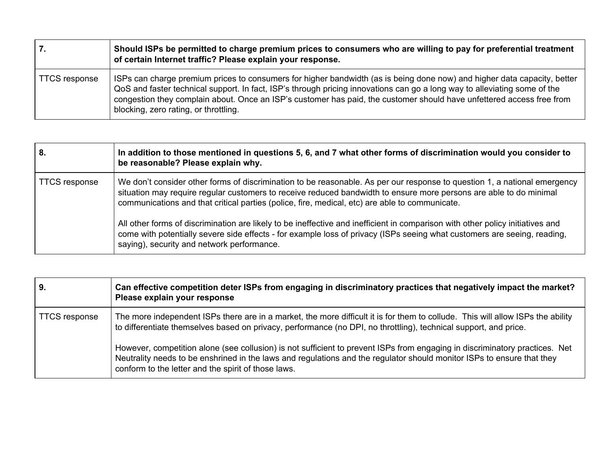| 7.                   | Should ISPs be permitted to charge premium prices to consumers who are willing to pay for preferential treatment<br>of certain Internet traffic? Please explain your response.                                                                                                                                                                                                                                          |
|----------------------|-------------------------------------------------------------------------------------------------------------------------------------------------------------------------------------------------------------------------------------------------------------------------------------------------------------------------------------------------------------------------------------------------------------------------|
| <b>TTCS</b> response | ISPs can charge premium prices to consumers for higher bandwidth (as is being done now) and higher data capacity, better<br>QoS and faster technical support. In fact, ISP's through pricing innovations can go a long way to alleviating some of the<br>congestion they complain about. Once an ISP's customer has paid, the customer should have unfettered access free from<br>blocking, zero rating, or throttling. |

| 8.                   | In addition to those mentioned in questions 5, 6, and 7 what other forms of discrimination would you consider to<br>be reasonable? Please explain why.                                                                                                                                                                                            |
|----------------------|---------------------------------------------------------------------------------------------------------------------------------------------------------------------------------------------------------------------------------------------------------------------------------------------------------------------------------------------------|
| <b>TTCS response</b> | We don't consider other forms of discrimination to be reasonable. As per our response to question 1, a national emergency<br>situation may require regular customers to receive reduced bandwidth to ensure more persons are able to do minimal<br>communications and that critical parties (police, fire, medical, etc) are able to communicate. |
|                      | All other forms of discrimination are likely to be ineffective and inefficient in comparison with other policy initiatives and<br>come with potentially severe side effects - for example loss of privacy (ISPs seeing what customers are seeing, reading,<br>saying), security and network performance.                                          |

| 9.                   | Can effective competition deter ISPs from engaging in discriminatory practices that negatively impact the market?<br>Please explain your response                                                                                                                                                            |
|----------------------|--------------------------------------------------------------------------------------------------------------------------------------------------------------------------------------------------------------------------------------------------------------------------------------------------------------|
| <b>TTCS response</b> | The more independent ISPs there are in a market, the more difficult it is for them to collude. This will allow ISPs the ability<br>to differentiate themselves based on privacy, performance (no DPI, no throttling), technical support, and price.                                                          |
|                      | However, competition alone (see collusion) is not sufficient to prevent ISPs from engaging in discriminatory practices. Net<br>Neutrality needs to be enshrined in the laws and regulations and the regulator should monitor ISPs to ensure that they<br>conform to the letter and the spirit of those laws. |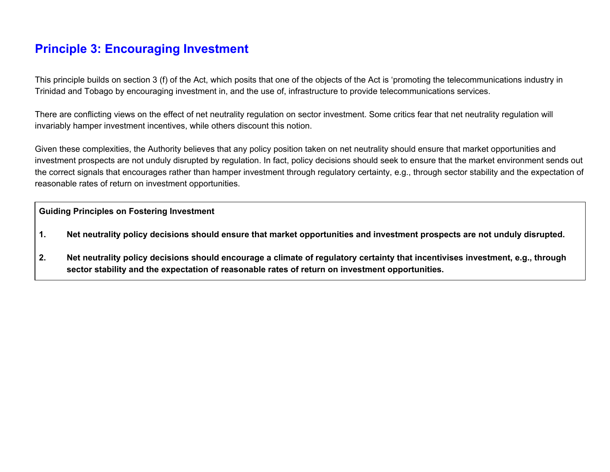## **Principle 3: Encouraging Investment**

This principle builds on section 3 (f) of the Act, which posits that one of the objects of the Act is 'promoting the telecommunications industry in Trinidad and Tobago by encouraging investment in, and the use of, infrastructure to provide telecommunications services.

There are conflicting views on the effect of net neutrality regulation on sector investment. Some critics fear that net neutrality regulation will invariably hamper investment incentives, while others discount this notion.

Given these complexities, the Authority believes that any policy position taken on net neutrality should ensure that market opportunities and investment prospects are not unduly disrupted by regulation. In fact, policy decisions should seek to ensure that the market environment sends out the correct signals that encourages rather than hamper investment through regulatory certainty, e.g., through sector stability and the expectation of reasonable rates of return on investment opportunities.

#### **Guiding Principles on Fostering Investment**

- 1. Net neutrality policy decisions should ensure that market opportunities and investment prospects are not unduly disrupted.
- 2. Net neutrality policy decisions should encourage a climate of regulatory certainty that incentivises investment, e.g., through **sector stability and the expectation of reasonable rates of return on investment opportunities.**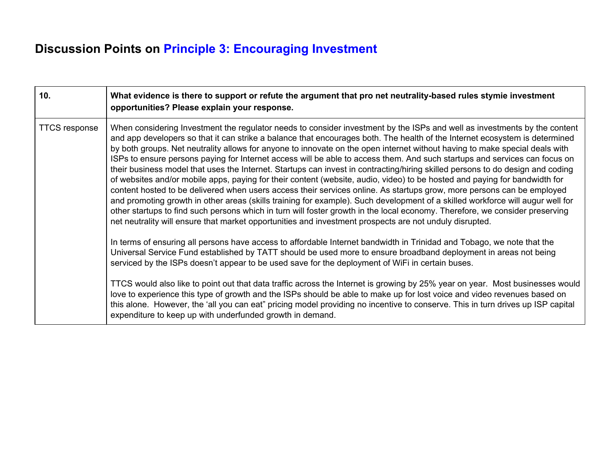# **Discussion Points on Principle 3: Encouraging Investment**

| 10.                  | What evidence is there to support or refute the argument that pro net neutrality-based rules stymie investment<br>opportunities? Please explain your response.                                                                                                                                                                                                                                                                                                                                                                                                                                                                                                                                                                                                                                                                                                                                                                                                                                                                                                                                                                                                                                                                                                                               |
|----------------------|----------------------------------------------------------------------------------------------------------------------------------------------------------------------------------------------------------------------------------------------------------------------------------------------------------------------------------------------------------------------------------------------------------------------------------------------------------------------------------------------------------------------------------------------------------------------------------------------------------------------------------------------------------------------------------------------------------------------------------------------------------------------------------------------------------------------------------------------------------------------------------------------------------------------------------------------------------------------------------------------------------------------------------------------------------------------------------------------------------------------------------------------------------------------------------------------------------------------------------------------------------------------------------------------|
| <b>TTCS response</b> | When considering Investment the regulator needs to consider investment by the ISPs and well as investments by the content<br>and app developers so that it can strike a balance that encourages both. The health of the Internet ecosystem is determined<br>by both groups. Net neutrality allows for anyone to innovate on the open internet without having to make special deals with<br>ISPs to ensure persons paying for Internet access will be able to access them. And such startups and services can focus on<br>their business model that uses the Internet. Startups can invest in contracting/hiring skilled persons to do design and coding<br>of websites and/or mobile apps, paying for their content (website, audio, video) to be hosted and paying for bandwidth for<br>content hosted to be delivered when users access their services online. As startups grow, more persons can be employed<br>and promoting growth in other areas (skills training for example). Such development of a skilled workforce will augur well for<br>other startups to find such persons which in turn will foster growth in the local economy. Therefore, we consider preserving<br>net neutrality will ensure that market opportunities and investment prospects are not unduly disrupted. |
|                      | In terms of ensuring all persons have access to affordable Internet bandwidth in Trinidad and Tobago, we note that the<br>Universal Service Fund established by TATT should be used more to ensure broadband deployment in areas not being<br>serviced by the ISPs doesn't appear to be used save for the deployment of WiFi in certain buses.                                                                                                                                                                                                                                                                                                                                                                                                                                                                                                                                                                                                                                                                                                                                                                                                                                                                                                                                               |
|                      | TTCS would also like to point out that data traffic across the Internet is growing by 25% year on year. Most businesses would<br>love to experience this type of growth and the ISPs should be able to make up for lost voice and video revenues based on<br>this alone. However, the 'all you can eat" pricing model providing no incentive to conserve. This in turn drives up ISP capital<br>expenditure to keep up with underfunded growth in demand.                                                                                                                                                                                                                                                                                                                                                                                                                                                                                                                                                                                                                                                                                                                                                                                                                                    |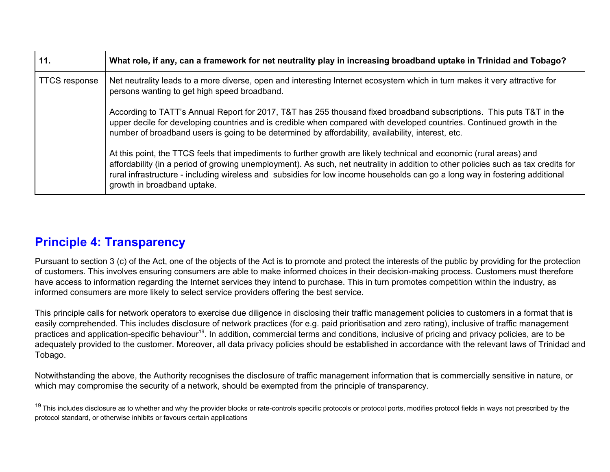| 11.                  | What role, if any, can a framework for net neutrality play in increasing broadband uptake in Trinidad and Tobago?                                                                                                                                                                                                                                                                                                        |
|----------------------|--------------------------------------------------------------------------------------------------------------------------------------------------------------------------------------------------------------------------------------------------------------------------------------------------------------------------------------------------------------------------------------------------------------------------|
| <b>TTCS response</b> | Net neutrality leads to a more diverse, open and interesting Internet ecosystem which in turn makes it very attractive for<br>persons wanting to get high speed broadband.                                                                                                                                                                                                                                               |
|                      | According to TATT's Annual Report for 2017, T&T has 255 thousand fixed broadband subscriptions. This puts T&T in the<br>upper decile for developing countries and is credible when compared with developed countries. Continued growth in the<br>number of broadband users is going to be determined by affordability, availability, interest, etc.                                                                      |
|                      | At this point, the TTCS feels that impediments to further growth are likely technical and economic (rural areas) and<br>affordability (in a period of growing unemployment). As such, net neutrality in addition to other policies such as tax credits for<br>rural infrastructure - including wireless and subsidies for low income households can go a long way in fostering additional<br>growth in broadband uptake. |

## **Principle 4: Transparency**

Pursuant to section 3 (c) of the Act, one of the objects of the Act is to promote and protect the interests of the public by providing for the protection of customers. This involves ensuring consumers are able to make informed choices in their decision-making process. Customers must therefore have access to information regarding the Internet services they intend to purchase. This in turn promotes competition within the industry, as informed consumers are more likely to select service providers offering the best service.

This principle calls for network operators to exercise due diligence in disclosing their traffic management policies to customers in a format that is easily comprehended. This includes disclosure of network practices (for e.g. paid prioritisation and zero rating), inclusive of traffic management practices and application-specific behaviour<sup>19</sup>. In addition, commercial terms and conditions, inclusive of pricing and privacy policies, are to be adequately provided to the customer. Moreover, all data privacy policies should be established in accordance with the relevant laws of Trinidad and Tobago.

Notwithstanding the above, the Authority recognises the disclosure of traffic management information that is commercially sensitive in nature, or which may compromise the security of a network, should be exempted from the principle of transparency.

<sup>&</sup>lt;sup>19</sup> This includes disclosure as to whether and why the provider blocks or rate-controls specific protocols or protocol ports, modifies protocol fields in ways not prescribed by the protocol standard, or otherwise inhibits or favours certain applications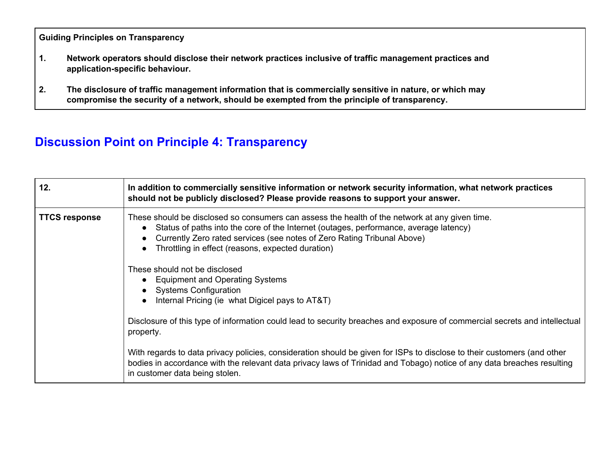**Guiding Principles on Transparency**

- **1. Network operators should disclose their network practices inclusive of traffic management practices and application-specific behaviour.**
- **2. The disclosure of traffic management information that is commercially sensitive in nature, or which may compromise the security of a network, should be exempted from the principle of transparency.**

# **Discussion Point on Principle 4: Transparency**

| 12.                  | In addition to commercially sensitive information or network security information, what network practices<br>should not be publicly disclosed? Please provide reasons to support your answer.                                                                                                                           |
|----------------------|-------------------------------------------------------------------------------------------------------------------------------------------------------------------------------------------------------------------------------------------------------------------------------------------------------------------------|
| <b>TTCS response</b> | These should be disclosed so consumers can assess the health of the network at any given time.<br>Status of paths into the core of the Internet (outages, performance, average latency)<br>Currently Zero rated services (see notes of Zero Rating Tribunal Above)<br>Throttling in effect (reasons, expected duration) |
|                      | These should not be disclosed<br>• Equipment and Operating Systems<br><b>Systems Configuration</b><br>Internal Pricing (ie what Digicel pays to AT&T)                                                                                                                                                                   |
|                      | Disclosure of this type of information could lead to security breaches and exposure of commercial secrets and intellectual<br>property.                                                                                                                                                                                 |
|                      | With regards to data privacy policies, consideration should be given for ISPs to disclose to their customers (and other<br>bodies in accordance with the relevant data privacy laws of Trinidad and Tobago) notice of any data breaches resulting<br>in customer data being stolen.                                     |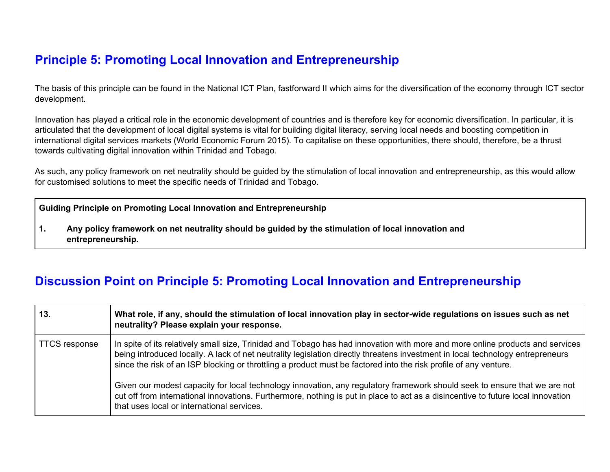# **Principle 5: Promoting Local Innovation and Entrepreneurship**

The basis of this principle can be found in the National ICT Plan, fastforward II which aims for the diversification of the economy through ICT sector development.

Innovation has played a critical role in the economic development of countries and is therefore key for economic diversification. In particular, it is articulated that the development of local digital systems is vital for building digital literacy, serving local needs and boosting competition in international digital services markets (World Economic Forum 2015). To capitalise on these opportunities, there should, therefore, be a thrust towards cultivating digital innovation within Trinidad and Tobago.

As such, any policy framework on net neutrality should be guided by the stimulation of local innovation and entrepreneurship, as this would allow for customised solutions to meet the specific needs of Trinidad and Tobago.

**Guiding Principle on Promoting Local Innovation and Entrepreneurship**

**1. Any policy framework on net neutrality should be guided by the stimulation of local innovation and entrepreneurship.**

## **Discussion Point on Principle 5: Promoting Local Innovation and Entrepreneurship**

| 13.                  | What role, if any, should the stimulation of local innovation play in sector-wide regulations on issues such as net<br>neutrality? Please explain your response.                                                                                                                                                                                                                    |
|----------------------|-------------------------------------------------------------------------------------------------------------------------------------------------------------------------------------------------------------------------------------------------------------------------------------------------------------------------------------------------------------------------------------|
| <b>TTCS response</b> | In spite of its relatively small size, Trinidad and Tobago has had innovation with more and more online products and services<br>being introduced locally. A lack of net neutrality legislation directly threatens investment in local technology entrepreneurs<br>since the risk of an ISP blocking or throttling a product must be factored into the risk profile of any venture. |
|                      | Given our modest capacity for local technology innovation, any regulatory framework should seek to ensure that we are not<br>cut off from international innovations. Furthermore, nothing is put in place to act as a disincentive to future local innovation<br>that uses local or international services.                                                                         |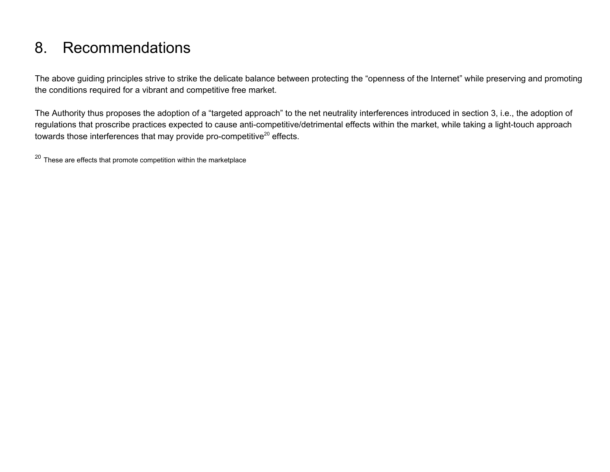# 8. Recommendations

The above guiding principles strive to strike the delicate balance between protecting the "openness of the Internet" while preserving and promoting the conditions required for a vibrant and competitive free market.

The Authority thus proposes the adoption of a "targeted approach" to the net neutrality interferences introduced in section 3, i.e., the adoption of regulations that proscribe practices expected to cause anti-competitive/detrimental effects within the market, while taking a light-touch approach towards those interferences that may provide pro-competitive<sup>20</sup> effects.

 $20$  These are effects that promote competition within the marketplace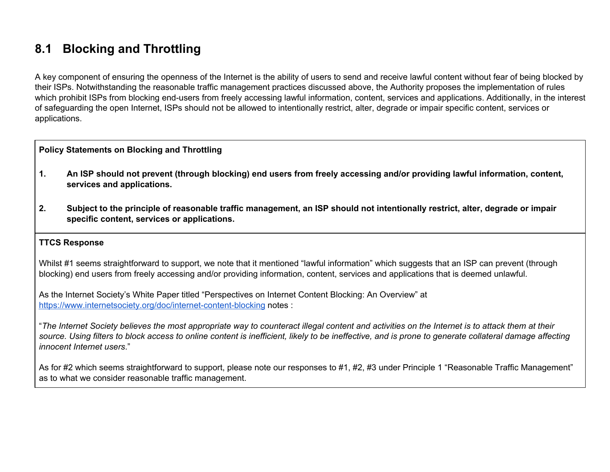## **8.1 Blocking and Throttling**

A key component of ensuring the openness of the Internet is the ability of users to send and receive lawful content without fear of being blocked by their ISPs. Notwithstanding the reasonable traffic management practices discussed above, the Authority proposes the implementation of rules which prohibit ISPs from blocking end-users from freely accessing lawful information, content, services and applications. Additionally, in the interest of safeguarding the open Internet, ISPs should not be allowed to intentionally restrict, alter, degrade or impair specific content, services or applications.

#### **Policy Statements on Blocking and Throttling**

- 1. An ISP should not prevent (through blocking) end users from freely accessing and/or providing lawful information, content, **services and applications.**
- 2. Subject to the principle of reasonable traffic management, an ISP should not intentionally restrict, alter, degrade or impair **specific content, services or applications.**

#### **TTCS Response**

Whilst #1 seems straightforward to support, we note that it mentioned "lawful information" which suggests that an ISP can prevent (through blocking) end users from freely accessing and/or providing information, content, services and applications that is deemed unlawful.

As the Internet Society's White Paper titled "Perspectives on Internet Content Blocking: An Overview" at <https://www.internetsociety.org/doc/internet-content-blocking> notes :

"The Internet Society believes the most appropriate way to counteract illegal content and activities on the Internet is to attack them at their source. Using filters to block access to online content is inefficient, likely to be ineffective, and is prone to generate collateral damage affecting *innocent Internet users*."

As for #2 which seems straightforward to support, please note our responses to #1, #2, #3 under Principle 1 "Reasonable Traffic Management" as to what we consider reasonable traffic management.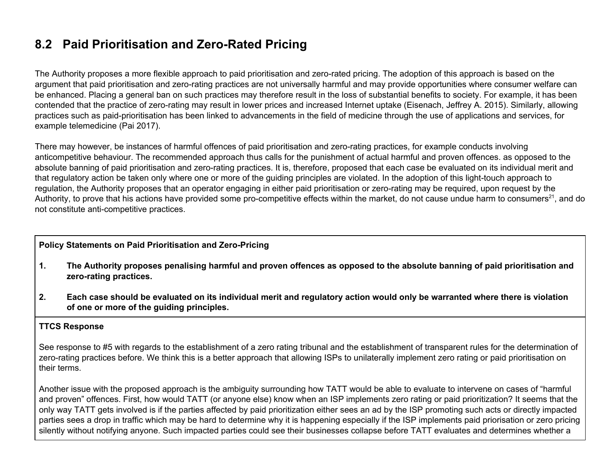## **8.2 Paid Prioritisation and Zero-Rated Pricing**

The Authority proposes a more flexible approach to paid prioritisation and zero-rated pricing. The adoption of this approach is based on the argument that paid prioritisation and zero-rating practices are not universally harmful and may provide opportunities where consumer welfare can be enhanced. Placing a general ban on such practices may therefore result in the loss of substantial benefits to society. For example, it has been contended that the practice of zero-rating may result in lower prices and increased Internet uptake (Eisenach, Jeffrey A. 2015). Similarly, allowing practices such as paid-prioritisation has been linked to advancements in the field of medicine through the use of applications and services, for example telemedicine (Pai 2017).

There may however, be instances of harmful offences of paid prioritisation and zero-rating practices, for example conducts involving anticompetitive behaviour. The recommended approach thus calls for the punishment of actual harmful and proven offences. as opposed to the absolute banning of paid prioritisation and zero-rating practices. It is, therefore, proposed that each case be evaluated on its individual merit and that regulatory action be taken only where one or more of the guiding principles are violated. In the adoption of this light-touch approach to regulation, the Authority proposes that an operator engaging in either paid prioritisation or zero-rating may be required, upon request by the Authority, to prove that his actions have provided some pro-competitive effects within the market, do not cause undue harm to consumers<sup>21</sup>, and do not constitute anti-competitive practices.

#### **Policy Statements on Paid Prioritisation and Zero-Pricing**

- 1. The Authority proposes penalising harmful and proven offences as opposed to the absolute banning of paid prioritisation and **zero-rating practices.**
- 2. Each case should be evaluated on its individual merit and regulatory action would only be warranted where there is violation **of one or more of the guiding principles.**

#### **TTCS Response**

See response to #5 with regards to the establishment of a zero rating tribunal and the establishment of transparent rules for the determination of zero-rating practices before. We think this is a better approach that allowing ISPs to unilaterally implement zero rating or paid prioritisation on their terms.

Another issue with the proposed approach is the ambiguity surrounding how TATT would be able to evaluate to intervene on cases of "harmful and proven" offences. First, how would TATT (or anyone else) know when an ISP implements zero rating or paid prioritization? It seems that the only way TATT gets involved is if the parties affected by paid prioritization either sees an ad by the ISP promoting such acts or directly impacted parties sees a drop in traffic which may be hard to determine why it is happening especially if the ISP implements paid priorisation or zero pricing silently without notifying anyone. Such impacted parties could see their businesses collapse before TATT evaluates and determines whether a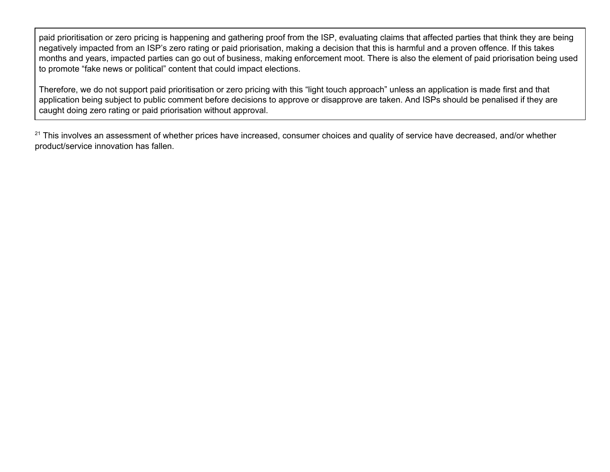paid prioritisation or zero pricing is happening and gathering proof from the ISP, evaluating claims that affected parties that think they are being negatively impacted from an ISP's zero rating or paid priorisation, making a decision that this is harmful and a proven offence. If this takes months and years, impacted parties can go out of business, making enforcement moot. There is also the element of paid priorisation being used to promote "fake news or political" content that could impact elections.

Therefore, we do not support paid prioritisation or zero pricing with this "light touch approach" unless an application is made first and that application being subject to public comment before decisions to approve or disapprove are taken. And ISPs should be penalised if they are caught doing zero rating or paid priorisation without approval.

<sup>21</sup> This involves an assessment of whether prices have increased, consumer choices and quality of service have decreased, and/or whether product/service innovation has fallen.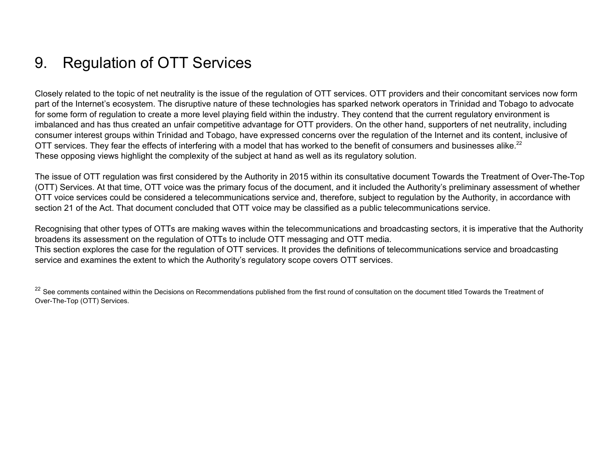# 9. Regulation of OTT Services

Closely related to the topic of net neutrality is the issue of the regulation of OTT services. OTT providers and their concomitant services now form part of the Internet's ecosystem. The disruptive nature of these technologies has sparked network operators in Trinidad and Tobago to advocate for some form of regulation to create a more level playing field within the industry. They contend that the current regulatory environment is imbalanced and has thus created an unfair competitive advantage for OTT providers. On the other hand, supporters of net neutrality, including consumer interest groups within Trinidad and Tobago, have expressed concerns over the regulation of the Internet and its content, inclusive of OTT services. They fear the effects of interfering with a model that has worked to the benefit of consumers and businesses alike.<sup>22</sup> These opposing views highlight the complexity of the subject at hand as well as its regulatory solution.

The issue of OTT regulation was first considered by the Authority in 2015 within its consultative document Towards the Treatment of Over-The-Top (OTT) Services. At that time, OTT voice was the primary focus of the document, and it included the Authority's preliminary assessment of whether OTT voice services could be considered a telecommunications service and, therefore, subject to regulation by the Authority, in accordance with section 21 of the Act. That document concluded that OTT voice may be classified as a public telecommunications service.

Recognising that other types of OTTs are making waves within the telecommunications and broadcasting sectors, it is imperative that the Authority broadens its assessment on the regulation of OTTs to include OTT messaging and OTT media. This section explores the case for the regulation of OTT services. It provides the definitions of telecommunications service and broadcasting service and examines the extent to which the Authority's regulatory scope covers OTT services.

<sup>22</sup> See comments contained within the Decisions on Recommendations published from the first round of consultation on the document titled Towards the Treatment of Over-The-Top (OTT) Services.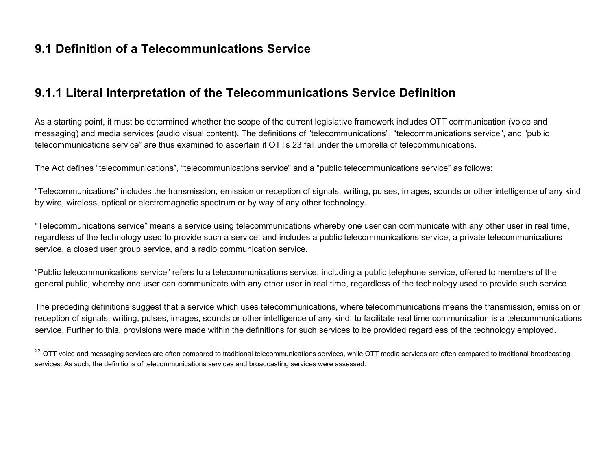## **9.1 Definition of a Telecommunications Service**

## **9.1.1 Literal Interpretation of the Telecommunications Service Definition**

As a starting point, it must be determined whether the scope of the current legislative framework includes OTT communication (voice and messaging) and media services (audio visual content). The definitions of "telecommunications", "telecommunications service", and "public telecommunications service" are thus examined to ascertain if OTTs 23 fall under the umbrella of telecommunications.

The Act defines "telecommunications", "telecommunications service" and a "public telecommunications service" as follows:

"Telecommunications" includes the transmission, emission or reception of signals, writing, pulses, images, sounds or other intelligence of any kind by wire, wireless, optical or electromagnetic spectrum or by way of any other technology.

"Telecommunications service" means a service using telecommunications whereby one user can communicate with any other user in real time, regardless of the technology used to provide such a service, and includes a public telecommunications service, a private telecommunications service, a closed user group service, and a radio communication service.

"Public telecommunications service" refers to a telecommunications service, including a public telephone service, offered to members of the general public, whereby one user can communicate with any other user in real time, regardless of the technology used to provide such service.

The preceding definitions suggest that a service which uses telecommunications, where telecommunications means the transmission, emission or reception of signals, writing, pulses, images, sounds or other intelligence of any kind, to facilitate real time communication is a telecommunications service. Further to this, provisions were made within the definitions for such services to be provided regardless of the technology employed.

<sup>23</sup> OTT voice and messaging services are often compared to traditional telecommunications services, while OTT media services are often compared to traditional broadcasting services. As such, the definitions of telecommunications services and broadcasting services were assessed.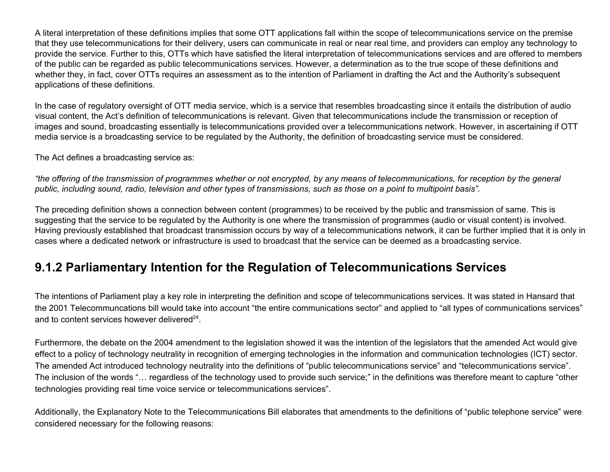A literal interpretation of these definitions implies that some OTT applications fall within the scope of telecommunications service on the premise that they use telecommunications for their delivery, users can communicate in real or near real time, and providers can employ any technology to provide the service. Further to this, OTTs which have satisfied the literal interpretation of telecommunications services and are offered to members of the public can be regarded as public telecommunications services. However, a determination as to the true scope of these definitions and whether they, in fact, cover OTTs requires an assessment as to the intention of Parliament in drafting the Act and the Authority's subsequent applications of these definitions.

In the case of regulatory oversight of OTT media service, which is a service that resembles broadcasting since it entails the distribution of audio visual content, the Act's definition of telecommunications is relevant. Given that telecommunications include the transmission or reception of images and sound, broadcasting essentially is telecommunications provided over a telecommunications network. However, in ascertaining if OTT media service is a broadcasting service to be regulated by the Authority, the definition of broadcasting service must be considered.

The Act defines a broadcasting service as:

"the offering of the transmission of programmes whether or not encrypted, by any means of telecommunications, for reception by the general public, including sound, radio, television and other types of transmissions, such as those on a point to multipoint basis".

The preceding definition shows a connection between content (programmes) to be received by the public and transmission of same. This is suggesting that the service to be regulated by the Authority is one where the transmission of programmes (audio or visual content) is involved. Having previously established that broadcast transmission occurs by way of a telecommunications network, it can be further implied that it is only in cases where a dedicated network or infrastructure is used to broadcast that the service can be deemed as a broadcasting service.

## **9.1.2 Parliamentary Intention for the Regulation of Telecommunications Services**

The intentions of Parliament play a key role in interpreting the definition and scope of telecommunications services. It was stated in Hansard that the 2001 Telecommuncations bill would take into account "the entire communications sector" and applied to "all types of communications services" and to content services however delivered<sup>24</sup>.

Furthermore, the debate on the 2004 amendment to the legislation showed it was the intention of the legislators that the amended Act would give effect to a policy of technology neutrality in recognition of emerging technologies in the information and communication technologies (ICT) sector. The amended Act introduced technology neutrality into the definitions of "public telecommunications service" and "telecommunications service". The inclusion of the words "… regardless of the technology used to provide such service;" in the definitions was therefore meant to capture "other technologies providing real time voice service or telecommunications services".

Additionally, the Explanatory Note to the Telecommunications Bill elaborates that amendments to the definitions of "public telephone service" were considered necessary for the following reasons: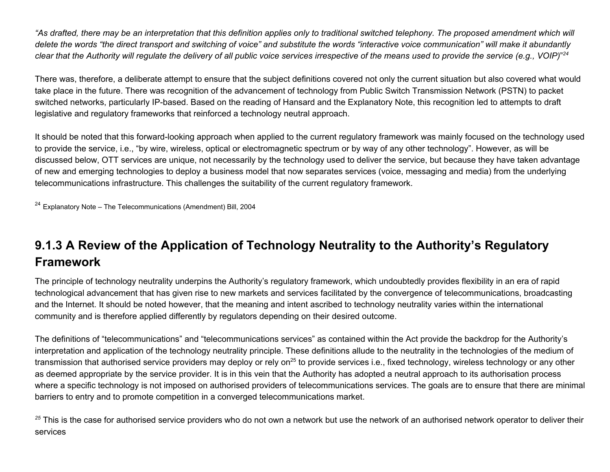"As drafted, there may be an interpretation that this definition applies only to traditional switched telephony. The proposed amendment which will delete the words "the direct transport and switching of voice" and substitute the words "interactive voice communication" will make it abundantly clear that the Authority will regulate the delivery of all public voice services irrespective of the means used to provide the service (e.g., VOIP)"24

There was, therefore, a deliberate attempt to ensure that the subject definitions covered not only the current situation but also covered what would take place in the future. There was recognition of the advancement of technology from Public Switch Transmission Network (PSTN) to packet switched networks, particularly IP-based. Based on the reading of Hansard and the Explanatory Note, this recognition led to attempts to draft legislative and regulatory frameworks that reinforced a technology neutral approach.

It should be noted that this forward-looking approach when applied to the current regulatory framework was mainly focused on the technology used to provide the service, i.e., "by wire, wireless, optical or electromagnetic spectrum or by way of any other technology". However, as will be discussed below, OTT services are unique, not necessarily by the technology used to deliver the service, but because they have taken advantage of new and emerging technologies to deploy a business model that now separates services (voice, messaging and media) from the underlying telecommunications infrastructure. This challenges the suitability of the current regulatory framework.

 $24$  Explanatory Note – The Telecommunications (Amendment) Bill, 2004

# **9.1.3 A Review of the Application of Technology Neutrality to the Authority's Regulatory Framework**

The principle of technology neutrality underpins the Authority's regulatory framework, which undoubtedly provides flexibility in an era of rapid technological advancement that has given rise to new markets and services facilitated by the convergence of telecommunications, broadcasting and the Internet. It should be noted however, that the meaning and intent ascribed to technology neutrality varies within the international community and is therefore applied differently by regulators depending on their desired outcome.

The definitions of "telecommunications" and "telecommunications services" as contained within the Act provide the backdrop for the Authority's interpretation and application of the technology neutrality principle. These definitions allude to the neutrality in the technologies of the medium of transmission that authorised service providers may deploy or rely on<sup>25</sup> to provide services i.e., fixed technology, wireless technology or any other as deemed appropriate by the service provider. It is in this vein that the Authority has adopted a neutral approach to its authorisation process where a specific technology is not imposed on authorised providers of telecommunications services. The goals are to ensure that there are minimal barriers to entry and to promote competition in a converged telecommunications market.

<sup>25</sup> This is the case for authorised service providers who do not own a network but use the network of an authorised network operator to deliver their services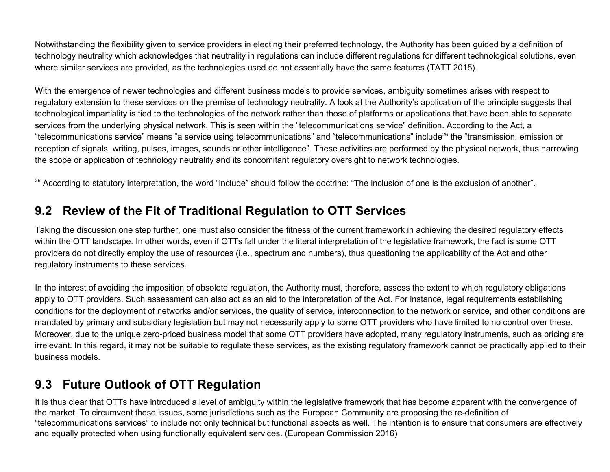Notwithstanding the flexibility given to service providers in electing their preferred technology, the Authority has been guided by a definition of technology neutrality which acknowledges that neutrality in regulations can include different regulations for different technological solutions, even where similar services are provided, as the technologies used do not essentially have the same features (TATT 2015).

With the emergence of newer technologies and different business models to provide services, ambiguity sometimes arises with respect to regulatory extension to these services on the premise of technology neutrality. A look at the Authority's application of the principle suggests that technological impartiality is tied to the technologies of the network rather than those of platforms or applications that have been able to separate services from the underlying physical network. This is seen within the "telecommunications service" definition. According to the Act, a "telecommunications service" means "a service using telecommunications" and "telecommunications" include 26 the "transmission, emission or reception of signals, writing, pulses, images, sounds or other intelligence". These activities are performed by the physical network, thus narrowing the scope or application of technology neutrality and its concomitant regulatory oversight to network technologies.

<sup>26</sup> According to statutory interpretation, the word "include" should follow the doctrine: "The inclusion of one is the exclusion of another".

## **9.2 Review of the Fit of Traditional Regulation to OTT Services**

Taking the discussion one step further, one must also consider the fitness of the current framework in achieving the desired regulatory effects within the OTT landscape. In other words, even if OTTs fall under the literal interpretation of the legislative framework, the fact is some OTT providers do not directly employ the use of resources (i.e., spectrum and numbers), thus questioning the applicability of the Act and other regulatory instruments to these services.

In the interest of avoiding the imposition of obsolete regulation, the Authority must, therefore, assess the extent to which regulatory obligations apply to OTT providers. Such assessment can also act as an aid to the interpretation of the Act. For instance, legal requirements establishing conditions for the deployment of networks and/or services, the quality of service, interconnection to the network or service, and other conditions are mandated by primary and subsidiary legislation but may not necessarily apply to some OTT providers who have limited to no control over these. Moreover, due to the unique zero-priced business model that some OTT providers have adopted, many regulatory instruments, such as pricing are irrelevant. In this regard, it may not be suitable to regulate these services, as the existing regulatory framework cannot be practically applied to their business models.

## **9.3 Future Outlook of OTT Regulation**

It is thus clear that OTTs have introduced a level of ambiguity within the legislative framework that has become apparent with the convergence of the market. To circumvent these issues, some jurisdictions such as the European Community are proposing the re-definition of "telecommunications services" to include not only technical but functional aspects as well. The intention is to ensure that consumers are effectively and equally protected when using functionally equivalent services. (European Commission 2016)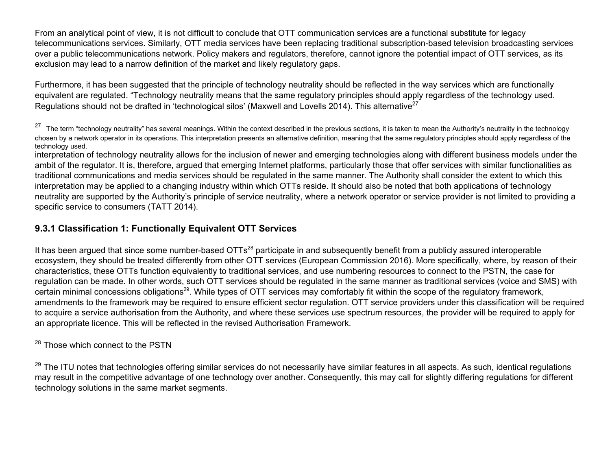From an analytical point of view, it is not difficult to conclude that OTT communication services are a functional substitute for legacy telecommunications services. Similarly, OTT media services have been replacing traditional subscription-based television broadcasting services over a public telecommunications network. Policy makers and regulators, therefore, cannot ignore the potential impact of OTT services, as its exclusion may lead to a narrow definition of the market and likely regulatory gaps.

Furthermore, it has been suggested that the principle of technology neutrality should be reflected in the way services which are functionally equivalent are regulated. "Technology neutrality means that the same regulatory principles should apply regardless of the technology used. Regulations should not be drafted in 'technological silos' (Maxwell and Lovells 2014). This alternative<sup>27</sup>

<sup>27</sup> The term "technology neutrality" has several meanings. Within the context described in the previous sections, it is taken to mean the Authority's neutrality in the technology chosen by a network operator in its operations. This interpretation presents an alternative definition, meaning that the same regulatory principles should apply regardless of the technology used.

interpretation of technology neutrality allows for the inclusion of newer and emerging technologies along with different business models under the ambit of the regulator. It is, therefore, argued that emerging Internet platforms, particularly those that offer services with similar functionalities as traditional communications and media services should be regulated in the same manner. The Authority shall consider the extent to which this interpretation may be applied to a changing industry within which OTTs reside. It should also be noted that both applications of technology neutrality are supported by the Authority's principle of service neutrality, where a network operator or service provider is not limited to providing a specific service to consumers (TATT 2014).

## **9.3.1 Classification 1: Functionally Equivalent OTT Services**

It has been argued that since some number-based OTTs<sup>28</sup> participate in and subsequently benefit from a publicly assured interoperable ecosystem, they should be treated differently from other OTT services (European Commission 2016). More specifically, where, by reason of their characteristics, these OTTs function equivalently to traditional services, and use numbering resources to connect to the PSTN, the case for regulation can be made. In other words, such OTT services should be regulated in the same manner as traditional services (voice and SMS) with certain minimal concessions obligations<sup>29</sup>. While types of OTT services may comfortably fit within the scope of the regulatory framework, amendments to the framework may be required to ensure efficient sector regulation. OTT service providers under this classification will be required to acquire a service authorisation from the Authority, and where these services use spectrum resources, the provider will be required to apply for an appropriate licence. This will be reflected in the revised Authorisation Framework.

### <sup>28</sup> Those which connect to the PSTN

<sup>29</sup> The ITU notes that technologies offering similar services do not necessarily have similar features in all aspects. As such, identical regulations may result in the competitive advantage of one technology over another. Consequently, this may call for slightly differing regulations for different technology solutions in the same market segments.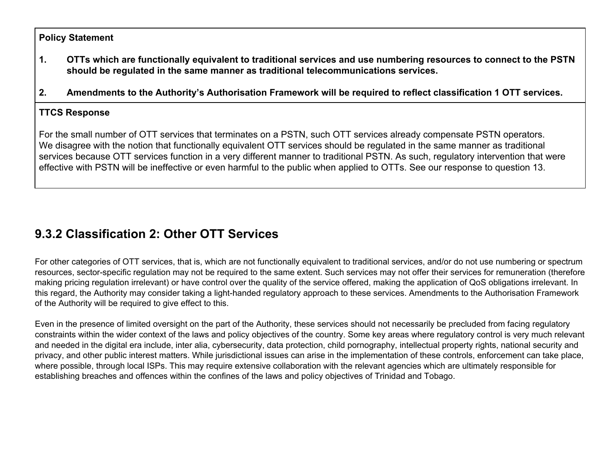### **Policy Statement**

- **1. OTTs which are functionally equivalent to traditional services and use numbering resources to connect to the PSTN should be regulated in the same manner as traditional telecommunications services.**
- **2. Amendments to the Authority's Authorisation Framework will be required to reflect classification 1 OTT services.**

### **TTCS Response**

For the small number of OTT services that terminates on a PSTN, such OTT services already compensate PSTN operators. We disagree with the notion that functionally equivalent OTT services should be regulated in the same manner as traditional services because OTT services function in a very different manner to traditional PSTN. As such, regulatory intervention that were effective with PSTN will be ineffective or even harmful to the public when applied to OTTs. See our response to question 13.

# **9.3.2 Classification 2: Other OTT Services**

For other categories of OTT services, that is, which are not functionally equivalent to traditional services, and/or do not use numbering or spectrum resources, sector-specific regulation may not be required to the same extent. Such services may not offer their services for remuneration (therefore making pricing regulation irrelevant) or have control over the quality of the service offered, making the application of QoS obligations irrelevant. In this regard, the Authority may consider taking a light-handed regulatory approach to these services. Amendments to the Authorisation Framework of the Authority will be required to give effect to this.

Even in the presence of limited oversight on the part of the Authority, these services should not necessarily be precluded from facing regulatory constraints within the wider context of the laws and policy objectives of the country. Some key areas where regulatory control is very much relevant and needed in the digital era include, inter alia, cybersecurity, data protection, child pornography, intellectual property rights, national security and privacy, and other public interest matters. While jurisdictional issues can arise in the implementation of these controls, enforcement can take place, where possible, through local ISPs. This may require extensive collaboration with the relevant agencies which are ultimately responsible for establishing breaches and offences within the confines of the laws and policy objectives of Trinidad and Tobago.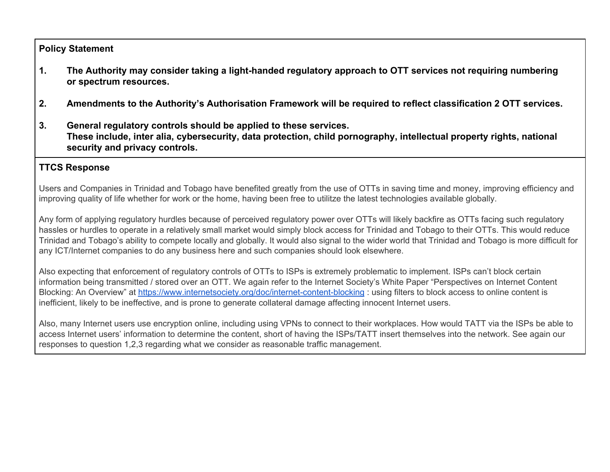### **Policy Statement**

- **1. The Authority may consider taking a light-handed regulatory approach to OTT services not requiring numbering or spectrum resources.**
- **2. Amendments to the Authority's Authorisation Framework will be required to reflect classification 2 OTT services.**
- **3. General regulatory controls should be applied to these services. These include, inter alia, cybersecurity, data protection, child pornography, intellectual property rights, national security and privacy controls.**

## **TTCS Response**

Users and Companies in Trinidad and Tobago have benefited greatly from the use of OTTs in saving time and money, improving efficiency and improving quality of life whether for work or the home, having been free to utilitze the latest technologies available globally.

Any form of applying regulatory hurdles because of perceived regulatory power over OTTs will likely backfire as OTTs facing such regulatory hassles or hurdles to operate in a relatively small market would simply block access for Trinidad and Tobago to their OTTs. This would reduce Trinidad and Tobago's ability to compete locally and globally. It would also signal to the wider world that Trinidad and Tobago is more difficult for any ICT/Internet companies to do any business here and such companies should look elsewhere.

Also expecting that enforcement of regulatory controls of OTTs to ISPs is extremely problematic to implement. ISPs can't block certain information being transmitted / stored over an OTT. We again refer to the Internet Society's White Paper "Perspectives on Internet Content Blocking: An Overview" at <https://www.internetsociety.org/doc/internet-content-blocking> : using filters to block access to online content is inefficient, likely to be ineffective, and is prone to generate collateral damage affecting innocent Internet users.

Also, many Internet users use encryption online, including using VPNs to connect to their workplaces. How would TATT via the ISPs be able to access Internet users' information to determine the content, short of having the ISPs/TATT insert themselves into the network. See again our responses to question 1,2,3 regarding what we consider as reasonable traffic management.